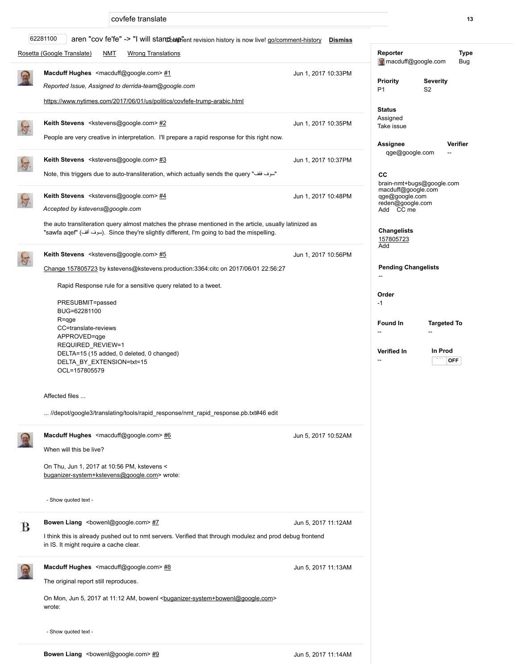covfefe translate 13

|   | 62281100<br>aren "cov fe'fe" -> "I will stancot phent revision history is now live! go/comment-history Dismiss                                                                                        |                     |                                                                        |
|---|-------------------------------------------------------------------------------------------------------------------------------------------------------------------------------------------------------|---------------------|------------------------------------------------------------------------|
|   | Rosetta (Google Translate)<br><b>NMT</b><br><b>Wrong Translations</b>                                                                                                                                 |                     | Reporter<br><b>Type</b><br>macduff@google.com<br>Bug                   |
|   | Macduff Hughes <macduff@google.com> #1<br/>Reported Issue, Assigned to derrida-team@google.com</macduff@google.com>                                                                                   | Jun 1, 2017 10:33PM | <b>Severity</b><br><b>Priority</b><br>S <sub>2</sub><br>P <sub>1</sub> |
|   | https://www.nytimes.com/2017/06/01/us/politics/covfefe-trump-arabic.html                                                                                                                              |                     | <b>Status</b>                                                          |
|   | Keith Stevens <kstevens@google.com> #2</kstevens@google.com>                                                                                                                                          | Jun 1, 2017 10:35PM | Assigned<br>Take issue                                                 |
|   | People are very creative in interpretation. I'll prepare a rapid response for this right now.                                                                                                         |                     | Verifier<br>Assignee                                                   |
|   | Keith Stevens <kstevens@google.com>#3<br/>"سوف فقف" Note, this triggers due to auto-transliteration, which actually sends the query</kstevens@google.com>                                             | Jun 1, 2017 10:37PM | qge@google.com                                                         |
|   |                                                                                                                                                                                                       |                     | CС<br>brain-nmt+bugs@google.com                                        |
| 海 | Keith Stevens <kstevens@google.com> #4<br/>Accepted by kstevens@google.com</kstevens@google.com>                                                                                                      | Jun 1, 2017 10:48PM | macduff@google.com<br>qge@google.com<br>reden@google.com<br>Add CC me  |
|   | the auto transliteration query almost matches the phrase mentioned in the article, usually latinized as<br>"sawfa aqef" (سوف أقف). Since they're slightly different, I'm going to bad the mispelling. |                     | <b>Changelists</b><br>157805723                                        |
|   | Keith Stevens <kstevens@google.com> #5</kstevens@google.com>                                                                                                                                          | Jun 1, 2017 10:56PM | Add                                                                    |
|   | Change 157805723 by kstevens@kstevens:production:3364:citc on 2017/06/01 22:56:27                                                                                                                     |                     | <b>Pending Changelists</b>                                             |
|   | Rapid Response rule for a sensitive query related to a tweet.                                                                                                                                         |                     |                                                                        |
|   | PRESUBMIT=passed<br>BUG=62281100                                                                                                                                                                      |                     | Order<br>$-1$                                                          |
|   | R=qge                                                                                                                                                                                                 |                     | <b>Found In</b><br><b>Targeted To</b>                                  |
|   | CC=translate-reviews<br>APPROVED=qge                                                                                                                                                                  |                     |                                                                        |
|   | REQUIRED_REVIEW=1<br>DELTA=15 (15 added, 0 deleted, 0 changed)<br>DELTA_BY_EXTENSION=txt=15<br>OCL=157805579                                                                                          |                     | In Prod<br>Verified In<br><b>OFF</b>                                   |
|   | Affected files                                                                                                                                                                                        |                     |                                                                        |
|   | //depot/google3/translating/tools/rapid_response/nmt_rapid_response.pb.txt#46 edit                                                                                                                    |                     |                                                                        |
|   | Macduff Hughes <macduff@google.com> #6</macduff@google.com>                                                                                                                                           | Jun 5, 2017 10:52AM |                                                                        |
|   | When will this be live?                                                                                                                                                                               |                     |                                                                        |
|   | On Thu, Jun 1, 2017 at 10:56 PM, kstevens <<br>buganizer-system+kstevens@google.com> wrote:                                                                                                           |                     |                                                                        |
|   | - Show quoted text -                                                                                                                                                                                  |                     |                                                                        |
| В | <b>Bowen Liang</b> <bowenl@google.com> #7</bowenl@google.com>                                                                                                                                         | Jun 5, 2017 11:12AM |                                                                        |
|   | I think this is already pushed out to nmt servers. Verified that through modulez and prod debug frontend<br>in IS. It might require a cache clear.                                                    |                     |                                                                        |
|   | Macduff Hughes <macduff@google.com> #8</macduff@google.com>                                                                                                                                           | Jun 5, 2017 11:13AM |                                                                        |
|   | The original report still reproduces.                                                                                                                                                                 |                     |                                                                        |
|   | On Mon, Jun 5, 2017 at 11:12 AM, bowenl<br>buganizer-system+bowenl@google.com><br>wrote:                                                                                                              |                     |                                                                        |
|   | - Show quoted text -                                                                                                                                                                                  |                     |                                                                        |